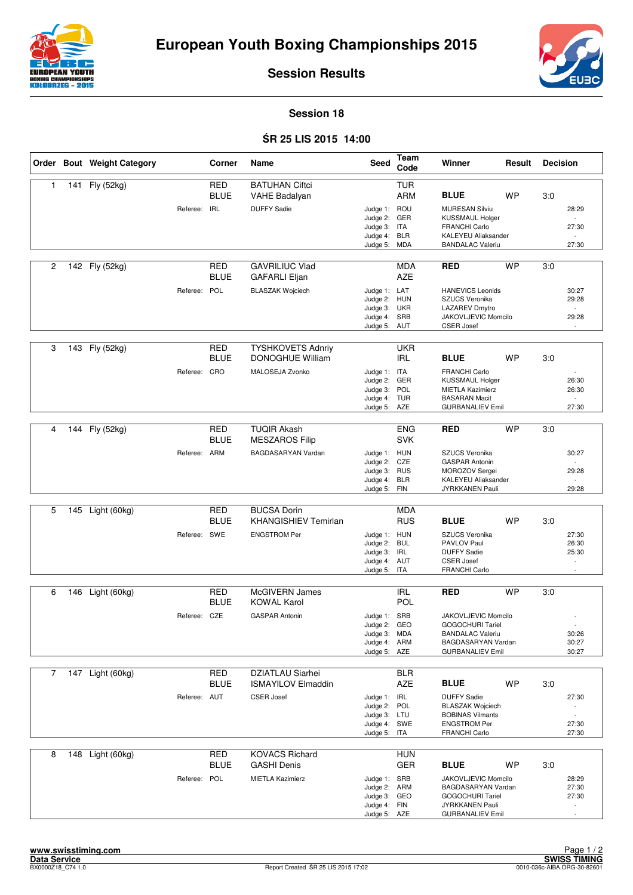



**Session Results**

## **Session 18**

## Ś**R 25 LIS 2015 14:00**

|                |     | Order Bout Weight Category |              | Corner                    | Name                                              | Seed                         | Team<br>Code             | Winner                                             | Result    | <b>Decision</b> |                                   |
|----------------|-----|----------------------------|--------------|---------------------------|---------------------------------------------------|------------------------------|--------------------------|----------------------------------------------------|-----------|-----------------|-----------------------------------|
| $\mathbf{1}$   | 141 | Fly (52kg)                 |              | <b>RED</b><br><b>BLUE</b> | <b>BATUHAN Ciftci</b><br>VAHE Badalyan            |                              | <b>TUR</b><br><b>ARM</b> | <b>BLUE</b>                                        | <b>WP</b> | 3:0             |                                   |
|                |     |                            | Referee: IRL |                           | <b>DUFFY Sadie</b>                                | Judge 1: ROU                 |                          | <b>MURESAN Silviu</b>                              |           |                 | 28:29                             |
|                |     |                            |              |                           |                                                   | Judge 2: GER<br>Judge 3: ITA |                          | <b>KUSSMAUL Holger</b><br><b>FRANCHI Carlo</b>     |           |                 | $\sim$<br>27:30                   |
|                |     |                            |              |                           |                                                   | Judge 4: BLR<br>Judge 5: MDA |                          | KALEYEU Aliaksander<br><b>BANDALAC Valeriu</b>     |           |                 | 27:30                             |
|                |     |                            |              |                           |                                                   |                              |                          |                                                    |           |                 |                                   |
| 2              | 142 | Fly (52kg)                 |              | <b>RED</b><br><b>BLUE</b> | <b>GAVRILIUC Vlad</b><br><b>GAFARLI Eljan</b>     |                              | <b>MDA</b><br><b>AZE</b> | <b>RED</b>                                         | <b>WP</b> | 3:0             |                                   |
|                |     |                            | Referee: POL |                           | <b>BLASZAK Wojciech</b>                           | Judge 1: LAT<br>Judge 2: HUN |                          | <b>HANEVICS Leonids</b><br>SZUCS Veronika          |           |                 | 30:27<br>29:28                    |
|                |     |                            |              |                           |                                                   | Judge 3: UKR                 |                          | <b>LAZAREV Dmytro</b>                              |           |                 | $\sim$                            |
|                |     |                            |              |                           |                                                   | Judge 4: SRB<br>Judge 5: AUT |                          | JAKOVLJEVIC Momcilo<br><b>CSER Josef</b>           |           |                 | 29:28<br>$\sim$                   |
|                |     |                            |              |                           |                                                   |                              |                          |                                                    |           |                 |                                   |
| 3              | 143 | Fly (52kg)                 |              | <b>RED</b><br><b>BLUE</b> | <b>TYSHKOVETS Adnriy</b><br>DONOGHUE William      |                              | <b>UKR</b><br><b>IRL</b> | <b>BLUE</b>                                        | <b>WP</b> | 3:0             |                                   |
|                |     |                            | Referee: CRO |                           | MALOSEJA Zvonko                                   | Judge 1: ITA<br>Judge 2: GER |                          | <b>FRANCHI Carlo</b><br><b>KUSSMAUL Holger</b>     |           |                 | 26:30                             |
|                |     |                            |              |                           |                                                   | Judge 3: POL                 |                          | <b>MIETLA Kazimierz</b>                            |           |                 | 26:30                             |
|                |     |                            |              |                           |                                                   | Judge 4: TUR<br>Judge 5: AZE |                          | <b>BASARAN Macit</b><br><b>GURBANALIEV Emil</b>    |           |                 | $\sim$<br>27:30                   |
|                |     |                            |              |                           |                                                   |                              |                          |                                                    |           |                 |                                   |
| 4              | 144 | Fly (52kg)                 |              | <b>RED</b><br>BLUE        | <b>TUQIR Akash</b><br><b>MESZAROS Filip</b>       |                              | <b>ENG</b><br><b>SVK</b> | <b>RED</b>                                         | <b>WP</b> | 3:0             |                                   |
|                |     |                            | Referee: ARM |                           | BAGDASARYAN Vardan                                | Judge 1: HUN<br>Judge 2: CZE |                          | SZUCS Veronika<br><b>GASPAR Antonin</b>            |           |                 | 30:27                             |
|                |     |                            |              |                           |                                                   | Judge 3: RUS                 |                          | MOROZOV Sergei                                     |           |                 | 29:28                             |
|                |     |                            |              |                           |                                                   | Judge 4: BLR<br>Judge 5: FIN |                          | <b>KALEYEU Aliaksander</b><br>JYRKKANEN Pauli      |           |                 | 29:28                             |
|                |     |                            |              |                           |                                                   |                              |                          |                                                    |           |                 |                                   |
| 5              | 145 | Light (60kg)               |              | RED<br><b>BLUE</b>        | <b>BUCSA Dorin</b><br><b>KHANGISHIEV Temirlan</b> |                              | <b>MDA</b><br><b>RUS</b> | <b>BLUE</b>                                        | <b>WP</b> | 3:0             |                                   |
|                |     |                            | Referee: SWE |                           | <b>ENGSTROM Per</b>                               | Judge 1: HUN                 |                          | SZUCS Veronika                                     |           |                 | 27:30                             |
|                |     |                            |              |                           |                                                   | Judge 2: BUL<br>Judge 3: IRL |                          | PAVLOV Paul<br><b>DUFFY Sadie</b>                  |           |                 | 26:30<br>25:30                    |
|                |     |                            |              |                           |                                                   | Judge 4: AUT                 |                          | <b>CSER Josef</b>                                  |           |                 |                                   |
|                |     |                            |              |                           |                                                   | Judge 5: ITA                 |                          | FRANCHI Carlo                                      |           |                 | $\overline{a}$                    |
| 6              | 146 | Light (60kg)               |              | <b>RED</b>                | <b>McGIVERN James</b>                             |                              | <b>IRL</b>               | <b>RED</b>                                         | <b>WP</b> | 3:0             |                                   |
|                |     |                            |              | <b>BLUE</b>               | <b>KOWAL Karol</b>                                |                              | <b>POL</b>               |                                                    |           |                 |                                   |
|                |     |                            | Referee: CZE |                           | <b>GASPAR Antonin</b>                             | Judge 1: SRB<br>Judge 2: GEO |                          | JAKOVLJEVIC Momcilo<br><b>GOGOCHURI Tariel</b>     |           |                 |                                   |
|                |     |                            |              |                           |                                                   | Judge 3: MDA<br>Judge 4: ARM |                          | <b>BANDALAC Valeriu</b><br>BAGDASARYAN Vardan      |           |                 | 30:26<br>30:27                    |
|                |     |                            |              |                           |                                                   | Judge 5: AZE                 |                          | <b>GURBANALIEV Emil</b>                            |           |                 | 30:27                             |
| $\overline{7}$ |     | 147 Light (60kg)           |              | <b>RED</b>                | DZIATLAU Siarhei                                  |                              | <b>BLR</b>               |                                                    |           |                 |                                   |
|                |     |                            |              | <b>BLUE</b>               | <b>ISMAYILOV Elmaddin</b>                         |                              | <b>AZE</b>               | <b>BLUE</b>                                        | <b>WP</b> | 3:0             |                                   |
|                |     |                            | Referee: AUT |                           | <b>CSER Josef</b>                                 | Judge 1: IRL                 |                          | <b>DUFFY Sadie</b>                                 |           |                 | 27:30                             |
|                |     |                            |              |                           |                                                   | Judge 2: POL<br>Judge 3: LTU |                          | <b>BLASZAK Wojciech</b><br><b>BOBINAS Vilmants</b> |           |                 | $\sim$                            |
|                |     |                            |              |                           |                                                   | Judge 4: SWE<br>Judge 5: ITA |                          | <b>ENGSTROM Per</b><br><b>FRANCHI Carlo</b>        |           |                 | 27:30<br>27:30                    |
|                |     |                            |              |                           |                                                   |                              |                          |                                                    |           |                 |                                   |
| 8              |     | 148 Light (60kg)           |              | <b>RED</b><br><b>BLUE</b> | <b>KOVACS Richard</b><br><b>GASHI Denis</b>       |                              | <b>HUN</b><br>GER        | <b>BLUE</b>                                        | <b>WP</b> | 3:0             |                                   |
|                |     |                            | Referee: POL |                           | <b>MIETLA Kazimierz</b>                           | Judge 1: SRB                 |                          | JAKOVLJEVIC Momcilo                                |           |                 | 28:29                             |
|                |     |                            |              |                           |                                                   | Judge 2: ARM                 |                          | BAGDASARYAN Vardan                                 |           |                 | 27:30                             |
|                |     |                            |              |                           |                                                   | Judge 3: GEO<br>Judge 4: FIN |                          | GOGOCHURI Tariel<br>JYRKKANEN Pauli                |           |                 | 27:30<br>$\overline{\phantom{a}}$ |
|                |     |                            |              |                           |                                                   | Judge 5: AZE                 |                          | <b>GURBANALIEV Emil</b>                            |           |                 |                                   |